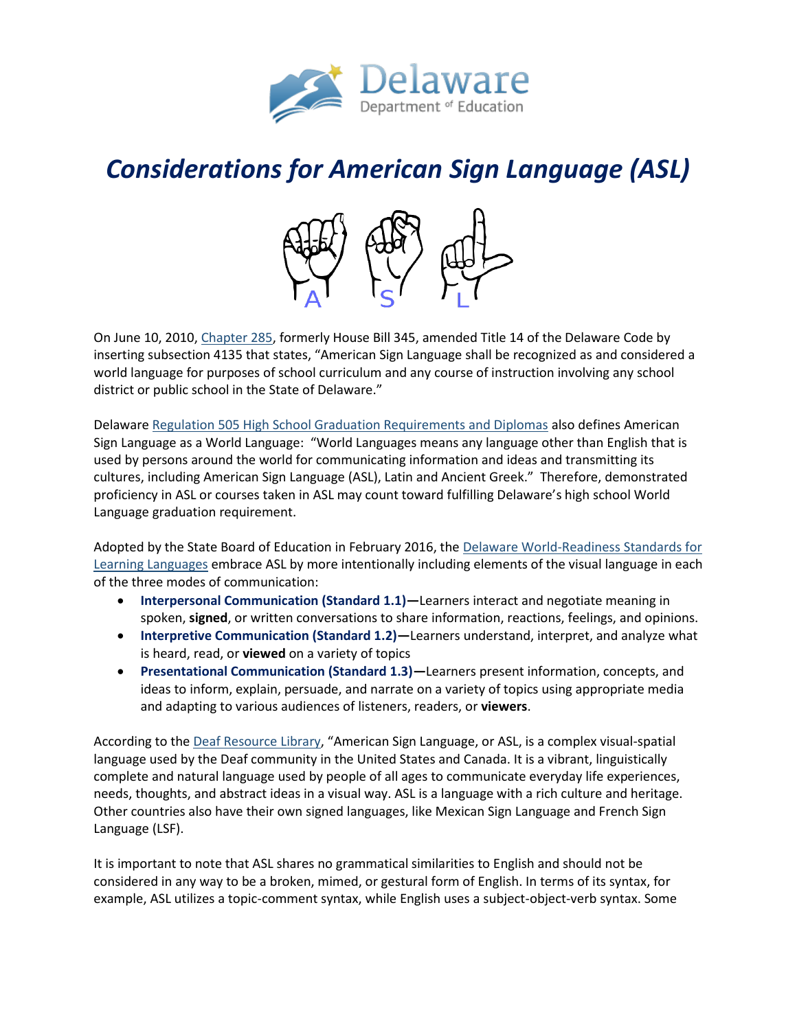

# *Considerations for American Sign Language (ASL)*



On June 10, 2010[, Chapter 285,](file:///C:/Users/gregory.fulkerson/Downloads/chp285.pdf) formerly House Bill 345, amended Title 14 of the Delaware Code by inserting subsection 4135 that states, "American Sign Language shall be recognized as and considered a world language for purposes of school curriculum and any course of instruction involving any school district or public school in the State of Delaware."

Delaware [Regulation 505 High School Graduation Requirements and Diplomas](https://regulations.delaware.gov/AdminCode/title14/500/505.shtml#TopOfPage) also defines American Sign Language as a World Language: "World Languages means any language other than English that is used by persons around the world for communicating information and ideas and transmitting its cultures, including American Sign Language (ASL), Latin and Ancient Greek." Therefore, demonstrated proficiency in ASL or courses taken in ASL may count toward fulfilling Delaware's high school World Language graduation requirement.

Adopted by the State Board of Education in February 2016, th[e Delaware World-Readiness Standards for](https://www.doe.k12.de.us/cms/lib/DE01922744/Centricity/Domain/139/Delaware%20World-Readiness%20Standards%20for%20Learning%20Languages%20040816.pdf)  [Learning Languages](https://www.doe.k12.de.us/cms/lib/DE01922744/Centricity/Domain/139/Delaware%20World-Readiness%20Standards%20for%20Learning%20Languages%20040816.pdf) embrace ASL by more intentionally including elements of the visual language in each of the three modes of communication:

- **Interpersonal Communication (Standard 1.1)—**Learners interact and negotiate meaning in spoken, **signed**, or written conversations to share information, reactions, feelings, and opinions.
- **Interpretive Communication (Standard 1.2)—**Learners understand, interpret, and analyze what is heard, read, or **viewed** on a variety of topics
- **Presentational Communication (Standard 1.3)—**Learners present information, concepts, and ideas to inform, explain, persuade, and narrate on a variety of topics using appropriate media and adapting to various audiences of listeners, readers, or **viewers**.

According to th[e Deaf Resource Library,](http://www.deaflibrary.org/asl.html) "American Sign Language, or ASL, is a complex visual-spatial language used by the Deaf community in the United States and Canada. It is a vibrant, linguistically complete and natural language used by people of all ages to communicate everyday life experiences, needs, thoughts, and abstract ideas in a visual way. ASL is a language with a rich culture and heritage. Other countries also have their own signed languages, like Mexican Sign Language and French Sign Language (LSF).

It is important to note that ASL shares no grammatical similarities to English and should not be considered in any way to be a broken, mimed, or gestural form of English. In terms of its syntax, for example, ASL utilizes a topic-comment syntax, while English uses a subject-object-verb syntax. Some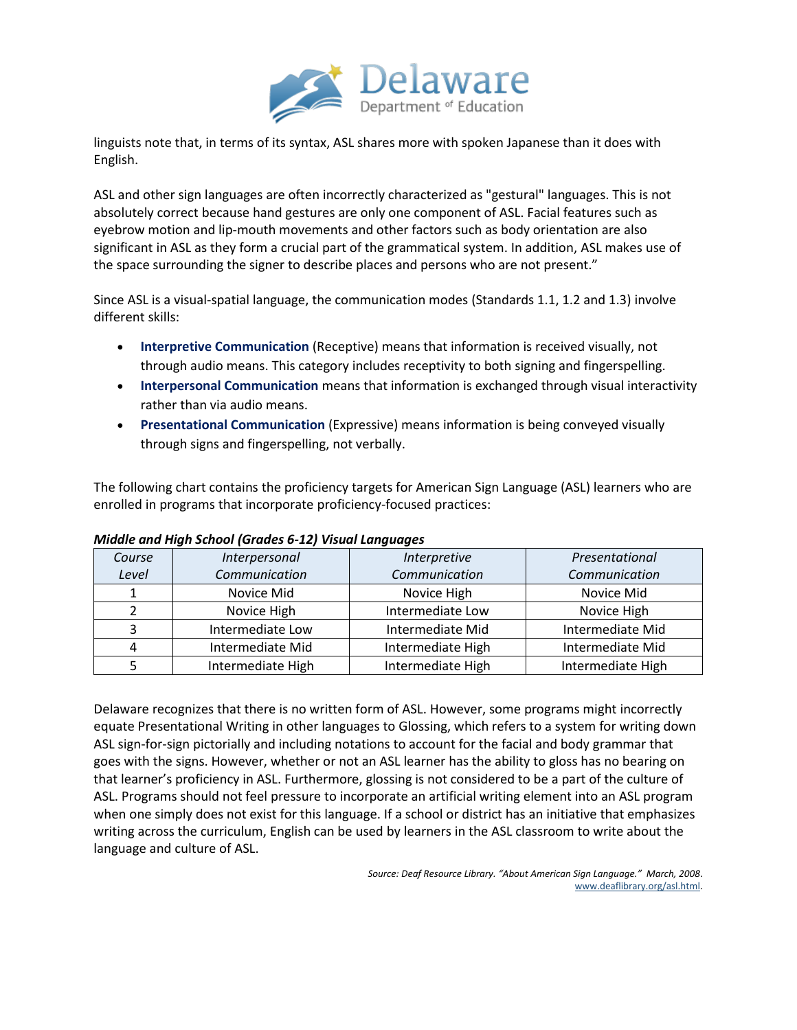

linguists note that, in terms of its syntax, ASL shares more with spoken Japanese than it does with English.

ASL and other sign languages are often incorrectly characterized as "gestural" languages. This is not absolutely correct because hand gestures are only one component of ASL. Facial features such as eyebrow motion and lip-mouth movements and other factors such as body orientation are also significant in ASL as they form a crucial part of the grammatical system. In addition, ASL makes use of the space surrounding the signer to describe places and persons who are not present."

Since ASL is a visual-spatial language, the communication modes (Standards 1.1, 1.2 and 1.3) involve different skills:

- **Interpretive Communication** (Receptive) means that information is received visually, not through audio means. This category includes receptivity to both signing and fingerspelling.
- **Interpersonal Communication** means that information is exchanged through visual interactivity rather than via audio means.
- **Presentational Communication** (Expressive) means information is being conveyed visually through signs and fingerspelling, not verbally.

The following chart contains the proficiency targets for American Sign Language (ASL) learners who are enrolled in programs that incorporate proficiency-focused practices:

| Course | Interpersonal     | Interpretive      | Presentational    |
|--------|-------------------|-------------------|-------------------|
| Level  | Communication     | Communication     | Communication     |
|        | Novice Mid        | Novice High       | Novice Mid        |
|        | Novice High       | Intermediate Low  | Novice High       |
|        | Intermediate Low  | Intermediate Mid  | Intermediate Mid  |
| 4      | Intermediate Mid  | Intermediate High | Intermediate Mid  |
|        | Intermediate High | Intermediate High | Intermediate High |

## *Middle and High School (Grades 6-12) Visual Languages*

Delaware recognizes that there is no written form of ASL. However, some programs might incorrectly equate Presentational Writing in other languages to Glossing, which refers to a system for writing down ASL sign-for-sign pictorially and including notations to account for the facial and body grammar that goes with the signs. However, whether or not an ASL learner has the ability to gloss has no bearing on that learner's proficiency in ASL. Furthermore, glossing is not considered to be a part of the culture of ASL. Programs should not feel pressure to incorporate an artificial writing element into an ASL program when one simply does not exist for this language. If a school or district has an initiative that emphasizes writing across the curriculum, English can be used by learners in the ASL classroom to write about the language and culture of ASL.